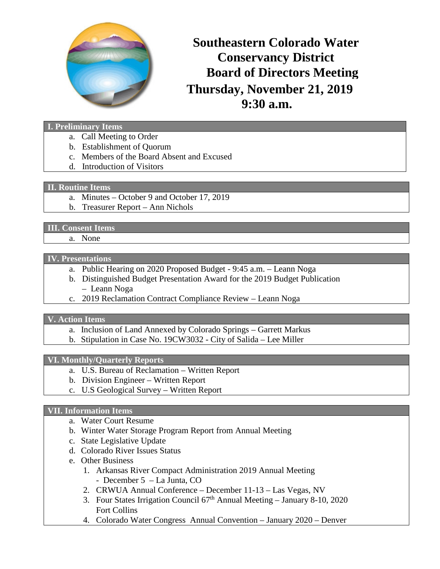

# **Thursday, November 21, 2019 9:30 a.m. Southeastern Colorado Water Conservancy District Board of Directors Meeting**

#### **I. Preliminary Items**

- a. Call Meeting to Order
- b. Establishment of Quorum
- c. Members of the Board Absent and Excused
- d. Introduction of Visitors

### **II. Routine Items**

- a. Minutes October 9 and October 17, 2019
- b. Treasurer Report Ann Nichols

## **III. Consent Items**

a. None

#### **IV. Presentations**

- a. Public Hearing on 2020 Proposed Budget 9:45 a.m. Leann Noga
- b. Distinguished Budget Presentation Award for the 2019 Budget Publication – Leann Noga
- c. 2019 Reclamation Contract Compliance Review Leann Noga

## **V. Action Items**

- a. Inclusion of Land Annexed by Colorado Springs Garrett Markus
- b. Stipulation in Case No. 19CW3032 City of Salida Lee Miller

## **VI. Monthly/Quarterly Reports**

- a. U.S. Bureau of Reclamation Written Report
- b. Division Engineer Written Report
- c. U.S Geological Survey Written Report

# **VII. Information Items**

- a. Water Court Resume
- b. Winter Water Storage Program Report from Annual Meeting
- c. State Legislative Update
- d. Colorado River Issues Status
- e. Other Business
	- 1. Arkansas River Compact Administration 2019 Annual Meeting - December 5 – La Junta, CO
	- 2. CRWUA Annual Conference December 11-13 Las Vegas, NV
	- 3. Four States Irrigation Council  $67<sup>th</sup>$  Annual Meeting January 8-10, 2020 Fort Collins
	- 4. Colorado Water Congress Annual Convention January 2020 Denver